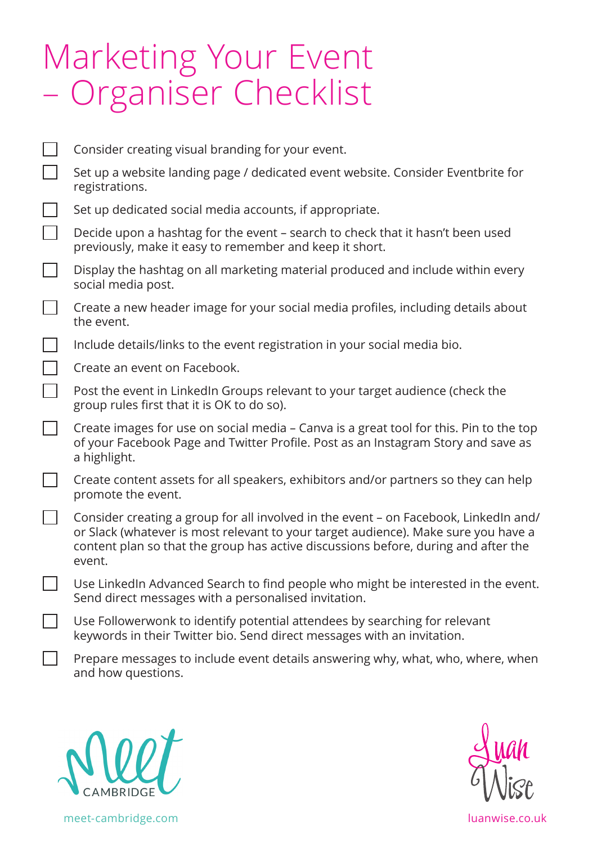## Marketing Your Event – Organiser Checklist

|                          | Consider creating visual branding for your event.                                                                                                                                                                                                                          |
|--------------------------|----------------------------------------------------------------------------------------------------------------------------------------------------------------------------------------------------------------------------------------------------------------------------|
| $\Box$                   | Set up a website landing page / dedicated event website. Consider Eventbrite for<br>registrations.                                                                                                                                                                         |
| $\Box$                   | Set up dedicated social media accounts, if appropriate.                                                                                                                                                                                                                    |
| $\Box$                   | Decide upon a hashtag for the event - search to check that it hasn't been used<br>previously, make it easy to remember and keep it short.                                                                                                                                  |
| $\Box$                   | Display the hashtag on all marketing material produced and include within every<br>social media post.                                                                                                                                                                      |
| $\Box$                   | Create a new header image for your social media profiles, including details about<br>the event.                                                                                                                                                                            |
| $\Box$                   | Include details/links to the event registration in your social media bio.                                                                                                                                                                                                  |
| $\Box$                   | Create an event on Facebook.                                                                                                                                                                                                                                               |
| $\Box$                   | Post the event in LinkedIn Groups relevant to your target audience (check the<br>group rules first that it is OK to do so).                                                                                                                                                |
| $\Box$                   | Create images for use on social media - Canva is a great tool for this. Pin to the top<br>of your Facebook Page and Twitter Profile. Post as an Instagram Story and save as<br>a highlight.                                                                                |
| $\overline{\phantom{a}}$ | Create content assets for all speakers, exhibitors and/or partners so they can help<br>promote the event.                                                                                                                                                                  |
| $\Box$                   | Consider creating a group for all involved in the event - on Facebook, LinkedIn and/<br>or Slack (whatever is most relevant to your target audience). Make sure you have a<br>content plan so that the group has active discussions before, during and after the<br>event. |
|                          | Use LinkedIn Advanced Search to find people who might be interested in the event.<br>Send direct messages with a personalised invitation.                                                                                                                                  |
|                          | Use Followerwonk to identify potential attendees by searching for relevant<br>keywords in their Twitter bio. Send direct messages with an invitation.                                                                                                                      |
|                          | Prepare messages to include event details answering why, what, who, where, when                                                                                                                                                                                            |



and how questions.



meet-cambridge.com luanwise.co.uk